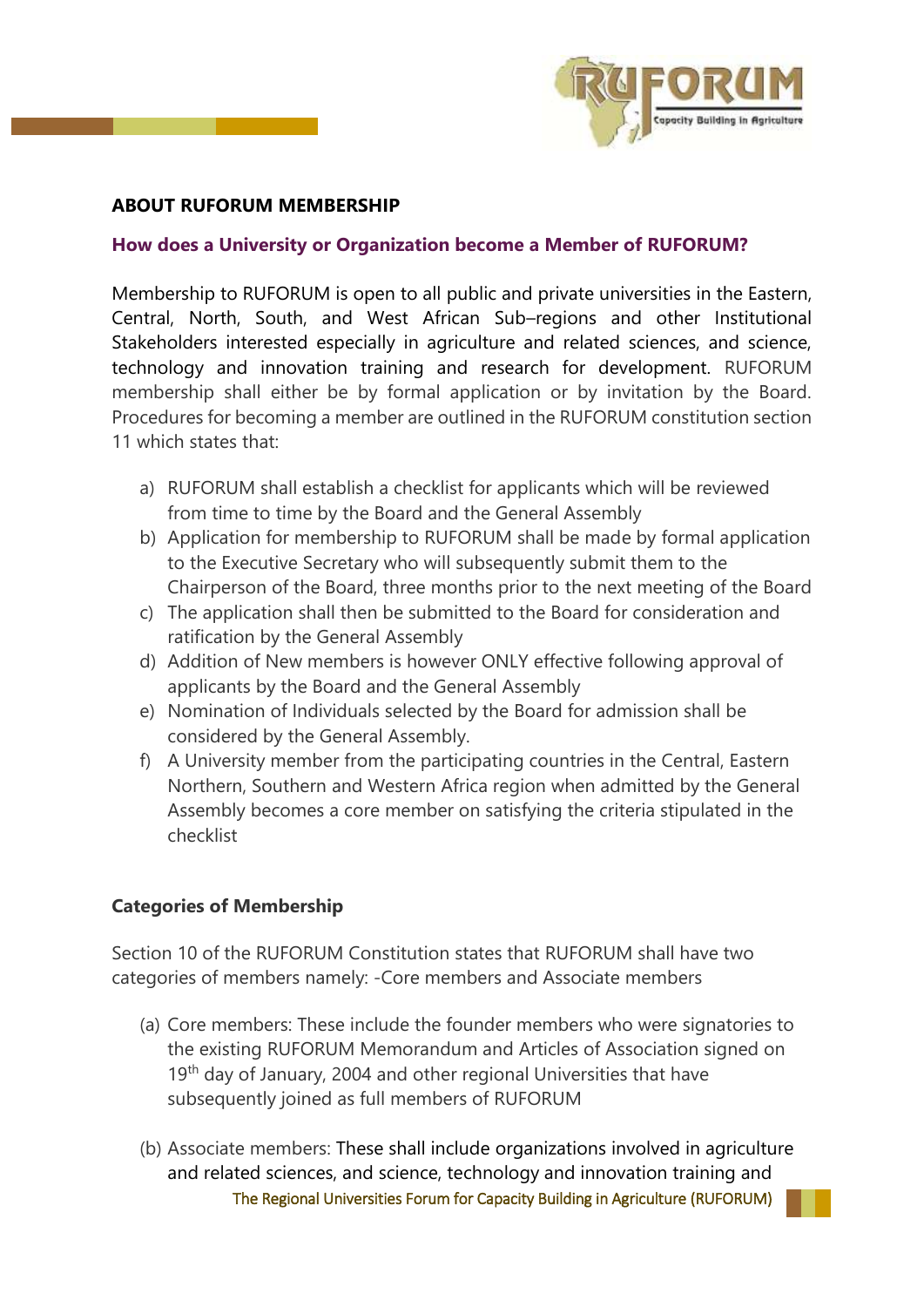

## **ABOUT RUFORUM MEMBERSHIP**

## **How does a University or Organization become a Member of RUFORUM?**

Membership to RUFORUM is open to all public and private universities in the Eastern, Central, North, South, and West African Sub–regions and other Institutional Stakeholders interested especially in agriculture and related sciences, and science, technology and innovation training and research for development. RUFORUM membership shall either be by formal application or by invitation by the Board. Procedures for becoming a member are outlined in the RUFORUM constitution section 11 which states that:

- a) RUFORUM shall establish a checklist for applicants which will be reviewed from time to time by the Board and the General Assembly
- b) Application for membership to RUFORUM shall be made by formal application to the Executive Secretary who will subsequently submit them to the Chairperson of the Board, three months prior to the next meeting of the Board
- c) The application shall then be submitted to the Board for consideration and ratification by the General Assembly
- d) Addition of New members is however ONLY effective following approval of applicants by the Board and the General Assembly
- e) Nomination of Individuals selected by the Board for admission shall be considered by the General Assembly.
- f) A University member from the participating countries in the Central, Eastern Northern, Southern and Western Africa region when admitted by the General Assembly becomes a core member on satisfying the criteria stipulated in the checklist

## **Categories of Membership**

Section 10 of the RUFORUM Constitution states that RUFORUM shall have two categories of members namely: -Core members and Associate members

- (a) Core members: These include the founder members who were signatories to the existing RUFORUM Memorandum and Articles of Association signed on 19<sup>th</sup> day of January, 2004 and other regional Universities that have subsequently joined as full members of RUFORUM
- The Regional Universities Forum for Capacity Building in Agriculture (RUFORUM) (b) Associate members: These shall include organizations involved in agriculture and related sciences, and science, technology and innovation training and